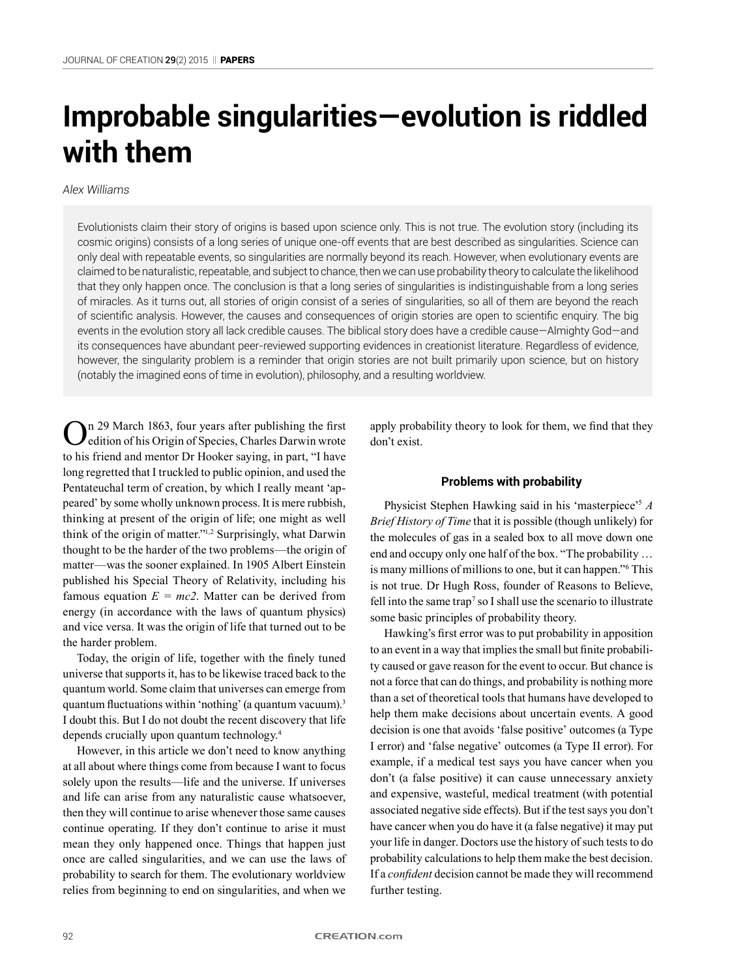# **Improbable singularities—evolution is riddled with them**

# *Alex Williams*

Evolutionists claim their story of origins is based upon science only. This is not true. The evolution story (including its cosmic origins) consists of a long series of unique one-off events that are best described as singularities. Science can only deal with repeatable events, so singularities are normally beyond its reach. However, when evolutionary events are claimed to be naturalistic, repeatable, and subject to chance, then we can use probability theory to calculate the likelihood that they only happen once. The conclusion is that a long series of singularities is indistinguishable from a long series of miracles. As it turns out, all stories of origin consist of a series of singularities, so all of them are beyond the reach of scientific analysis. However, the causes and consequences of origin stories are open to scientific enquiry. The big events in the evolution story all lack credible causes. The biblical story does have a credible cause—Almighty God—and its consequences have abundant peer-reviewed supporting evidences in creationist literature. Regardless of evidence, however, the singularity problem is a reminder that origin stories are not built primarily upon science, but on history (notably the imagined eons of time in evolution), philosophy, and a resulting worldview.

n 29 March 1863, four years after publishing the first edition of his Origin of Species, Charles Darwin wrote to his friend and mentor Dr Hooker saying, in part, "I have long regretted that I truckled to public opinion, and used the Pentateuchal term of creation, by which I really meant 'appeared' by some wholly unknown process. It is mere rubbish, thinking at present of the origin of life; one might as well think of the origin of matter."1,2 Surprisingly, what Darwin thought to be the harder of the two problems—the origin of matter—was the sooner explained. In 1905 Albert Einstein published his Special Theory of Relativity, including his famous equation  $E = mc^2$ . Matter can be derived from energy (in accordance with the laws of quantum physics) and vice versa. It was the origin of life that turned out to be the harder problem.

Today, the origin of life, together with the finely tuned universe that supports it, has to be likewise traced back to the quantum world. Some claim that universes can emerge from quantum fluctuations within 'nothing' (a quantum vacuum).<sup>3</sup> I doubt this. But I do not doubt the recent discovery that life depends crucially upon quantum technology.4

However, in this article we don't need to know anything at all about where things come from because I want to focus solely upon the results—life and the universe. If universes and life can arise from any naturalistic cause whatsoever, then they will continue to arise whenever those same causes continue operating. If they don't continue to arise it must mean they only happened once. Things that happen just once are called singularities, and we can use the laws of probability to search for them. The evolutionary worldview relies from beginning to end on singularities, and when we

apply probability theory to look for them, we find that they don't exist.

## **Problems with probability**

Physicist Stephen Hawking said in his 'masterpiece'<sup>5</sup> *A Brief History of Time* that it is possible (though unlikely) for the molecules of gas in a sealed box to all move down one end and occupy only one half of the box. "The probability … is many millions of millions to one, but it can happen."6 This is not true. Dr Hugh Ross, founder of Reasons to Believe, fell into the same trap<sup>7</sup> so I shall use the scenario to illustrate some basic principles of probability theory.

Hawking's first error was to put probability in apposition to an event in a way that implies the small but finite probability caused or gave reason for the event to occur. But chance is not a force that can do things, and probability is nothing more than a set of theoretical tools that humans have developed to help them make decisions about uncertain events. A good decision is one that avoids 'false positive' outcomes (a Type I error) and 'false negative' outcomes (a Type II error). For example, if a medical test says you have cancer when you don't (a false positive) it can cause unnecessary anxiety and expensive, wasteful, medical treatment (with potential associated negative side effects). But if the test says you don't have cancer when you do have it (a false negative) it may put your life in danger. Doctors use the history of such tests to do probability calculations to help them make the best decision. If a *confident* decision cannot be made they will recommend further testing.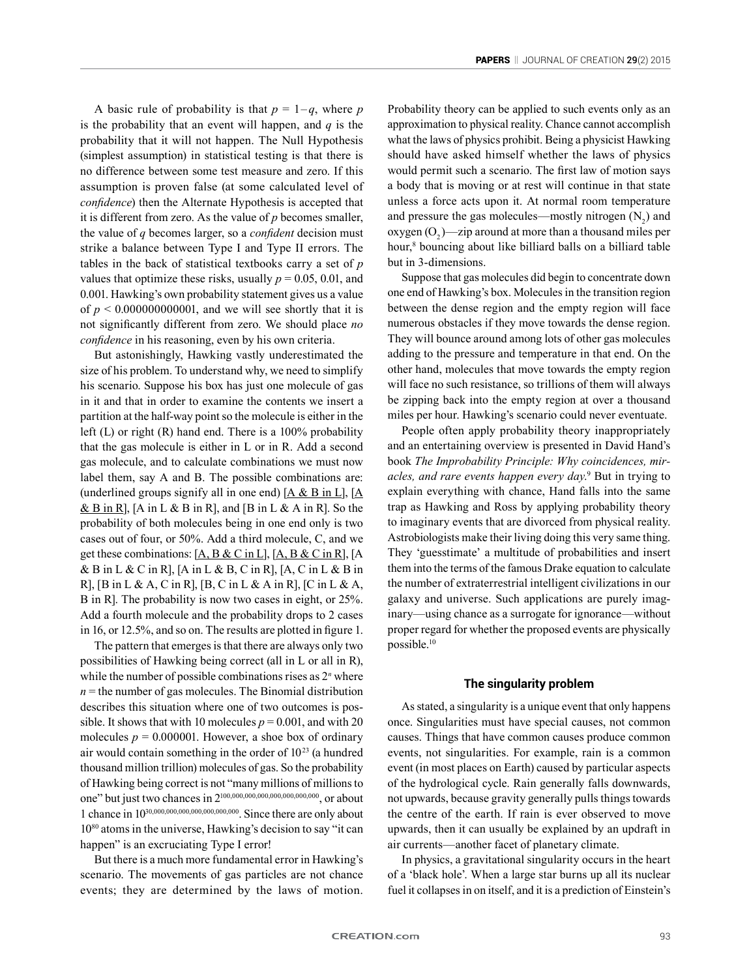A basic rule of probability is that  $p = 1-q$ , where *p* is the probability that an event will happen, and *q* is the probability that it will not happen. The Null Hypothesis (simplest assumption) in statistical testing is that there is no difference between some test measure and zero. If this assumption is proven false (at some calculated level of *confidence*) then the Alternate Hypothesis is accepted that it is different from zero. As the value of *p* becomes smaller, the value of *q* becomes larger, so a *confident* decision must strike a balance between Type I and Type II errors. The tables in the back of statistical textbooks carry a set of *p* values that optimize these risks, usually  $p = 0.05, 0.01$ , and 0.001. Hawking's own probability statement gives us a value of  $p < 0.000000000001$ , and we will see shortly that it is not significantly different from zero. We should place *no confidence* in his reasoning, even by his own criteria.

But astonishingly, Hawking vastly underestimated the size of his problem. To understand why, we need to simplify his scenario. Suppose his box has just one molecule of gas in it and that in order to examine the contents we insert a partition at the half-way point so the molecule is either in the left (L) or right (R) hand end. There is a 100% probability that the gas molecule is either in L or in R. Add a second gas molecule, and to calculate combinations we must now label them, say A and B. The possible combinations are: (underlined groups signify all in one end)  $[A & B$  in L],  $[A]$  $\&$  B in R], [A in L  $\&$  B in R], and [B in L  $\&$  A in R]. So the probability of both molecules being in one end only is two cases out of four, or 50%. Add a third molecule, C, and we get these combinations:  $[A, B & C$  in L,  $[A, B & C$  in R,  $[A, B]$ & B in L & C in R], [A in L & B, C in R], [A, C in L & B in R], [B in L & A, C in R], [B, C in L & A in R], [C in L & A, B in R]. The probability is now two cases in eight, or 25%. Add a fourth molecule and the probability drops to 2 cases in 16, or 12.5%, and so on. The results are plotted in figure 1.

The pattern that emerges is that there are always only two possibilities of Hawking being correct (all in L or all in R), while the number of possible combinations rises as 2*<sup>n</sup>* where  $n =$  the number of gas molecules. The Binomial distribution describes this situation where one of two outcomes is possible. It shows that with 10 molecules  $p = 0.001$ , and with 20 molecules  $p = 0.000001$ . However, a shoe box of ordinary air would contain something in the order of  $10^{23}$  (a hundred thousand million trillion) molecules of gas. So the probability of Hawking being correct is not "many millions of millions to one" but just two chances in 2100,000,000,000,000,000,000,000, or about 1 chance in 1030,000,000,000,000,000,000,000. Since there are only about 1080 atoms in the universe, Hawking's decision to say "it can happen" is an excruciating Type I error!

But there is a much more fundamental error in Hawking's scenario. The movements of gas particles are not chance events; they are determined by the laws of motion.

Probability theory can be applied to such events only as an approximation to physical reality. Chance cannot accomplish what the laws of physics prohibit. Being a physicist Hawking should have asked himself whether the laws of physics would permit such a scenario. The first law of motion says a body that is moving or at rest will continue in that state unless a force acts upon it. At normal room temperature and pressure the gas molecules—mostly nitrogen  $(N_2)$  and  $oxygen (O<sub>2</sub>)$ —zip around at more than a thousand miles per hour,<sup>8</sup> bouncing about like billiard balls on a billiard table but in 3-dimensions.

Suppose that gas molecules did begin to concentrate down one end of Hawking's box. Molecules in the transition region between the dense region and the empty region will face numerous obstacles if they move towards the dense region. They will bounce around among lots of other gas molecules adding to the pressure and temperature in that end. On the other hand, molecules that move towards the empty region will face no such resistance, so trillions of them will always be zipping back into the empty region at over a thousand miles per hour. Hawking's scenario could never eventuate.

People often apply probability theory inappropriately and an entertaining overview is presented in David Hand's book *The Improbability Principle: Why coincidences, miracles, and rare events happen every day*. 9 But in trying to explain everything with chance, Hand falls into the same trap as Hawking and Ross by applying probability theory to imaginary events that are divorced from physical reality. Astrobiologists make their living doing this very same thing. They 'guesstimate' a multitude of probabilities and insert them into the terms of the famous Drake equation to calculate the number of extraterrestrial intelligent civilizations in our galaxy and universe. Such applications are purely imaginary—using chance as a surrogate for ignorance—without proper regard for whether the proposed events are physically possible.10

#### **The singularity problem**

As stated, a singularity is a unique event that only happens once. Singularities must have special causes, not common causes. Things that have common causes produce common events, not singularities. For example, rain is a common event (in most places on Earth) caused by particular aspects of the hydrological cycle. Rain generally falls downwards, not upwards, because gravity generally pulls things towards the centre of the earth. If rain is ever observed to move upwards, then it can usually be explained by an updraft in air currents—another facet of planetary climate.

In physics, a gravitational singularity occurs in the heart of a 'black hole'. When a large star burns up all its nuclear fuel it collapses in on itself, and it is a prediction of Einstein's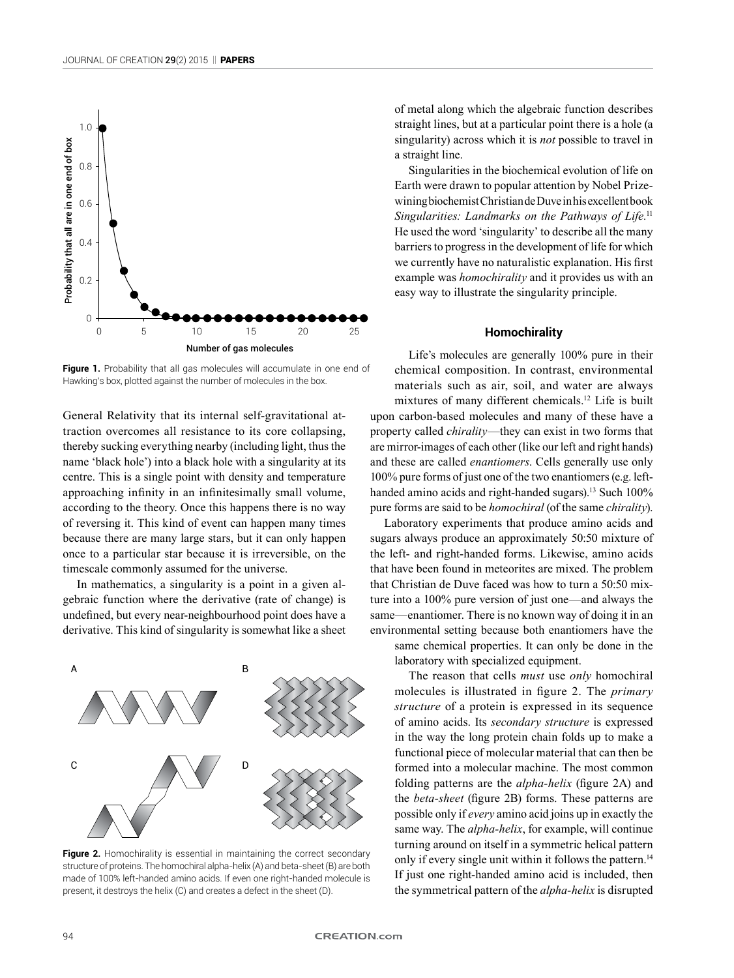

Figure 1. Probability that all gas molecules will accumulate in one end of Hawking's box, plotted against the number of molecules in the box.

General Relativity that its internal self-gravitational attraction overcomes all resistance to its core collapsing, thereby sucking everything nearby (including light, thus the name 'black hole') into a black hole with a singularity at its centre. This is a single point with density and temperature approaching infinity in an infinitesimally small volume, according to the theory. Once this happens there is no way of reversing it. This kind of event can happen many times because there are many large stars, but it can only happen once to a particular star because it is irreversible, on the timescale commonly assumed for the universe.

In mathematics, a singularity is a point in a given algebraic function where the derivative (rate of change) is undefined, but every near-neighbourhood point does have a derivative. This kind of singularity is somewhat like a sheet



Figure 2. Homochirality is essential in maintaining the correct secondary structure of proteins. The homochiral alpha-helix (A) and beta-sheet (B) are both made of 100% left-handed amino acids. If even one right-handed molecule is present, it destroys the helix (C) and creates a defect in the sheet (D).

of metal along which the algebraic function describes straight lines, but at a particular point there is a hole (a singularity) across which it is *not* possible to travel in a straight line.

Singularities in the biochemical evolution of life on Earth were drawn to popular attention by Nobel Prizewining biochemist Christian de Duve in his excellent book Singularities: Landmarks on the Pathways of Life.<sup>11</sup> He used the word 'singularity' to describe all the many barriers to progress in the development of life for which we currently have no naturalistic explanation. His first example was *homochirality* and it provides us with an easy way to illustrate the singularity principle.

# **Homochirality**

Life's molecules are generally 100% pure in their chemical composition. In contrast, environmental materials such as air, soil, and water are always mixtures of many different chemicals.12 Life is built upon carbon-based molecules and many of these have a property called *chirality*—they can exist in two forms that are mirror-images of each other (like our left and right hands) and these are called *enantiomers*. Cells generally use only 100% pure forms of just one of the two enantiomers (e.g. lefthanded amino acids and right-handed sugars).<sup>13</sup> Such 100% pure forms are said to be *homochiral* (of the same *chirality*).

Laboratory experiments that produce amino acids and sugars always produce an approximately 50:50 mixture of the left- and right-handed forms. Likewise, amino acids that have been found in meteorites are mixed. The problem that Christian de Duve faced was how to turn a 50:50 mixture into a 100% pure version of just one—and always the same—enantiomer. There is no known way of doing it in an environmental setting because both enantiomers have the same chemical properties. It can only be done in the

laboratory with specialized equipment.

The reason that cells *must* use *only* homochiral molecules is illustrated in figure 2. The *primary structure* of a protein is expressed in its sequence of amino acids. Its *secondary structure* is expressed in the way the long protein chain folds up to make a functional piece of molecular material that can then be formed into a molecular machine. The most common folding patterns are the *alpha-helix* (figure 2A) and the *beta-sheet* (figure 2B) forms. These patterns are possible only if *every* amino acid joins up in exactly the same way. The *alpha-helix*, for example, will continue turning around on itself in a symmetric helical pattern only if every single unit within it follows the pattern.<sup>14</sup> If just one right-handed amino acid is included, then the symmetrical pattern of the *alpha-helix* is disrupted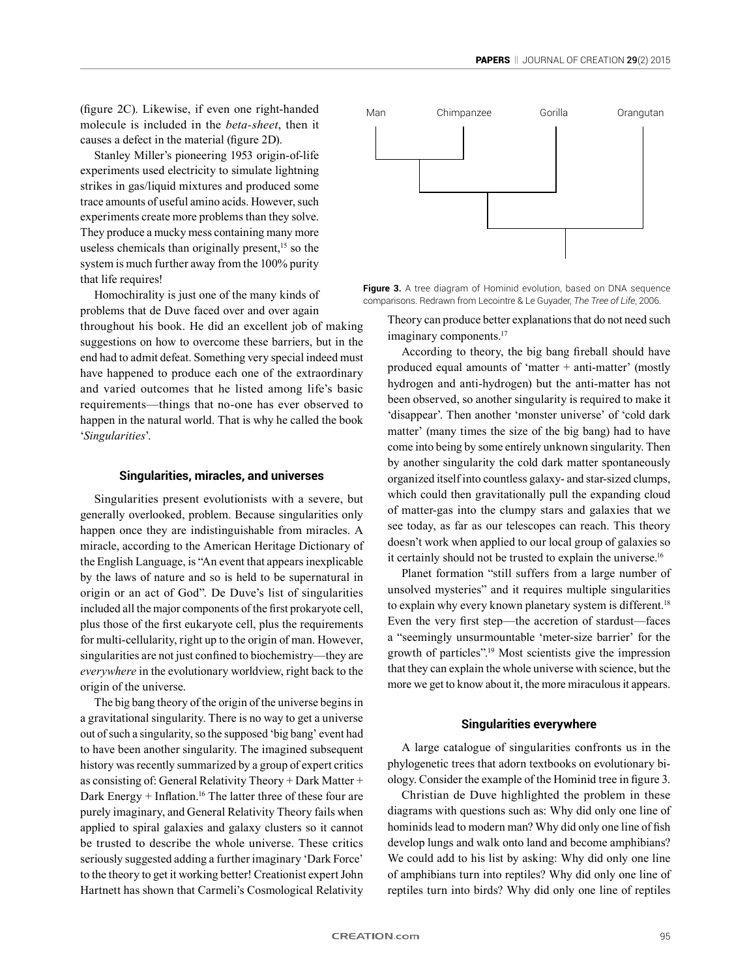(figure 2C). Likewise, if even one right-handed molecule is included in the *beta-sheet*, then it causes a defect in the material (figure 2D).

Stanley Miller's pioneering 1953 origin-of-life experiments used electricity to simulate lightning strikes in gas/liquid mixtures and produced some trace amounts of useful amino acids. However, such experiments create more problems than they solve. They produce a mucky mess containing many more useless chemicals than originally present, $15$  so the system is much further away from the 100% purity that life requires!

Homochirality is just one of the many kinds of problems that de Duve faced over and over again throughout his book. He did an excellent job of making suggestions on how to overcome these barriers, but in the end had to admit defeat. Something very special indeed must have happened to produce each one of the extraordinary and varied outcomes that he listed among life's basic requirements—things that no-one has ever observed to happen in the natural world. That is why he called the book '*Singularities*'.

#### **Singularities, miracles, and universes**

Singularities present evolutionists with a severe, but generally overlooked, problem. Because singularities only happen once they are indistinguishable from miracles. A miracle, according to the American Heritage Dictionary of the English Language, is "An event that appears inexplicable by the laws of nature and so is held to be supernatural in origin or an act of God". De Duve's list of singularities included all the major components of the first prokaryote cell, plus those of the first eukaryote cell, plus the requirements for multi-cellularity, right up to the origin of man. However, singularities are not just confined to biochemistry—they are *everywhere* in the evolutionary worldview, right back to the origin of the universe.

The big bang theory of the origin of the universe begins in a gravitational singularity. There is no way to get a universe out of such a singularity, so the supposed 'big bang' event had to have been another singularity. The imagined subsequent history was recently summarized by a group of expert critics as consisting of: General Relativity Theory + Dark Matter + Dark Energy + Inflation.16 The latter three of these four are purely imaginary, and General Relativity Theory fails when applied to spiral galaxies and galaxy clusters so it cannot be trusted to describe the whole universe. These critics seriously suggested adding a further imaginary 'Dark Force' to the theory to get it working better! Creationist expert John Hartnett has shown that Carmeli's Cosmological Relativity



Figure 3. A tree diagram of Hominid evolution, based on DNA sequence comparisons. Redrawn from Lecointre & Le Guyader, *The Tree of Life*, 2006.

Theory can produce better explanations that do not need such imaginary components.<sup>17</sup>

According to theory, the big bang fireball should have produced equal amounts of 'matter  $+$  anti-matter' (mostly hydrogen and anti-hydrogen) but the anti-matter has not been observed, so another singularity is required to make it 'disappear'. Then another 'monster universe' of 'cold dark matter' (many times the size of the big bang) had to have come into being by some entirely unknown singularity. Then by another singularity the cold dark matter spontaneously organized itself into countless galaxy- and star-sized clumps, which could then gravitationally pull the expanding cloud of matter-gas into the clumpy stars and galaxies that we see today, as far as our telescopes can reach. This theory doesn't work when applied to our local group of galaxies so it certainly should not be trusted to explain the universe.<sup>16</sup>

Planet formation "still suffers from a large number of unsolved mysteries" and it requires multiple singularities to explain why every known planetary system is different.<sup>18</sup> Even the very first step—the accretion of stardust—faces a "seemingly unsurmountable 'meter-size barrier' for the growth of particles".19 Most scientists give the impression that they can explain the whole universe with science, but the more we get to know about it, the more miraculous it appears.

## **Singularities everywhere**

A large catalogue of singularities confronts us in the phylogenetic trees that adorn textbooks on evolutionary biology. Consider the example of the Hominid tree in figure 3.

Christian de Duve highlighted the problem in these diagrams with questions such as: Why did only one line of hominids lead to modern man? Why did only one line of fish develop lungs and walk onto land and become amphibians? We could add to his list by asking: Why did only one line of amphibians turn into reptiles? Why did only one line of reptiles turn into birds? Why did only one line of reptiles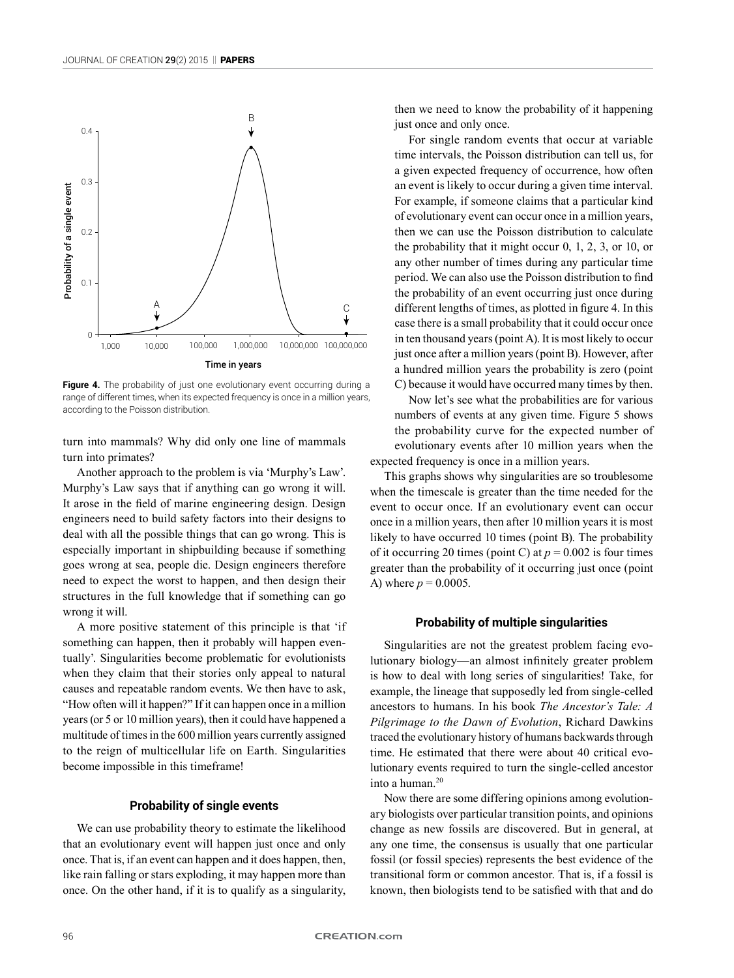

**Figure 4.** The probability of just one evolutionary event occurring during a range of different times, when its expected frequency is once in a million years, according to the Poisson distribution.

turn into mammals? Why did only one line of mammals turn into primates?

Another approach to the problem is via 'Murphy's Law'. Murphy's Law says that if anything can go wrong it will. It arose in the field of marine engineering design. Design engineers need to build safety factors into their designs to deal with all the possible things that can go wrong. This is especially important in shipbuilding because if something goes wrong at sea, people die. Design engineers therefore need to expect the worst to happen, and then design their structures in the full knowledge that if something can go wrong it will.

A more positive statement of this principle is that 'if something can happen, then it probably will happen eventually'. Singularities become problematic for evolutionists when they claim that their stories only appeal to natural causes and repeatable random events. We then have to ask, "How often will it happen?" If it can happen once in a million years (or 5 or 10 million years), then it could have happened a multitude of times in the 600 million years currently assigned to the reign of multicellular life on Earth. Singularities become impossible in this timeframe!

## **Probability of single events**

We can use probability theory to estimate the likelihood that an evolutionary event will happen just once and only once. That is, if an event can happen and it does happen, then, like rain falling or stars exploding, it may happen more than once. On the other hand, if it is to qualify as a singularity,

then we need to know the probability of it happening just once and only once.

For single random events that occur at variable time intervals, the Poisson distribution can tell us, for a given expected frequency of occurrence, how often an event is likely to occur during a given time interval. For example, if someone claims that a particular kind of evolutionary event can occur once in a million years, then we can use the Poisson distribution to calculate the probability that it might occur 0, 1, 2, 3, or 10, or any other number of times during any particular time period. We can also use the Poisson distribution to find the probability of an event occurring just once during different lengths of times, as plotted in figure 4. In this case there is a small probability that it could occur once in ten thousand years (point A). It is most likely to occur just once after a million years (point B). However, after a hundred million years the probability is zero (point C) because it would have occurred many times by then.

Now let's see what the probabilities are for various numbers of events at any given time. Figure 5 shows the probability curve for the expected number of evolutionary events after 10 million years when the expected frequency is once in a million years.

This graphs shows why singularities are so troublesome when the timescale is greater than the time needed for the event to occur once. If an evolutionary event can occur once in a million years, then after 10 million years it is most likely to have occurred 10 times (point B). The probability of it occurring 20 times (point C) at  $p = 0.002$  is four times greater than the probability of it occurring just once (point A) where  $p = 0.0005$ .

# **Probability of multiple singularities**

Singularities are not the greatest problem facing evolutionary biology—an almost infinitely greater problem is how to deal with long series of singularities! Take, for example, the lineage that supposedly led from single-celled ancestors to humans. In his book *The Ancestor's Tale: A Pilgrimage to the Dawn of Evolution*, Richard Dawkins traced the evolutionary history of humans backwards through time. He estimated that there were about 40 critical evolutionary events required to turn the single-celled ancestor into a human.20

Now there are some differing opinions among evolutionary biologists over particular transition points, and opinions change as new fossils are discovered. But in general, at any one time, the consensus is usually that one particular fossil (or fossil species) represents the best evidence of the transitional form or common ancestor. That is, if a fossil is known, then biologists tend to be satisfied with that and do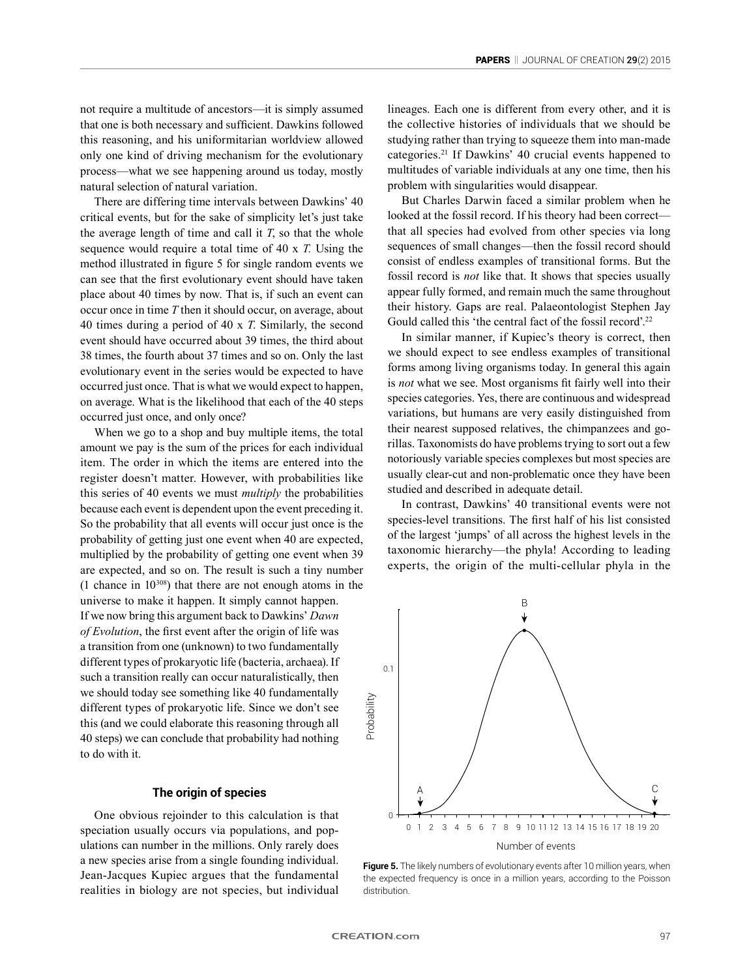not require a multitude of ancestors—it is simply assumed that one is both necessary and sufficient. Dawkins followed this reasoning, and his uniformitarian worldview allowed only one kind of driving mechanism for the evolutionary process—what we see happening around us today, mostly natural selection of natural variation.

There are differing time intervals between Dawkins' 40 critical events, but for the sake of simplicity let's just take the average length of time and call it *T*, so that the whole sequence would require a total time of 40 x *T.* Using the method illustrated in figure 5 for single random events we can see that the first evolutionary event should have taken place about 40 times by now. That is, if such an event can occur once in time *T* then it should occur, on average, about 40 times during a period of 40 x *T*. Similarly, the second event should have occurred about 39 times, the third about 38 times, the fourth about 37 times and so on. Only the last evolutionary event in the series would be expected to have occurred just once. That is what we would expect to happen, on average. What is the likelihood that each of the 40 steps occurred just once, and only once?

When we go to a shop and buy multiple items, the total amount we pay is the sum of the prices for each individual item. The order in which the items are entered into the register doesn't matter. However, with probabilities like this series of 40 events we must *multiply* the probabilities because each event is dependent upon the event preceding it. So the probability that all events will occur just once is the probability of getting just one event when 40 are expected, multiplied by the probability of getting one event when 39 are expected, and so on. The result is such a tiny number (1 chance in  $10^{308}$ ) that there are not enough atoms in the universe to make it happen. It simply cannot happen. If we now bring this argument back to Dawkins' *Dawn of Evolution*, the first event after the origin of life was a transition from one (unknown) to two fundamentally different types of prokaryotic life (bacteria, archaea). If such a transition really can occur naturalistically, then we should today see something like 40 fundamentally different types of prokaryotic life. Since we don't see this (and we could elaborate this reasoning through all 40 steps) we can conclude that probability had nothing to do with it.

# **The origin of species**

One obvious rejoinder to this calculation is that speciation usually occurs via populations, and populations can number in the millions. Only rarely does a new species arise from a single founding individual. Jean-Jacques Kupiec argues that the fundamental realities in biology are not species, but individual lineages. Each one is different from every other, and it is the collective histories of individuals that we should be studying rather than trying to squeeze them into man-made categories.21 If Dawkins' 40 crucial events happened to multitudes of variable individuals at any one time, then his problem with singularities would disappear.

But Charles Darwin faced a similar problem when he looked at the fossil record. If his theory had been correct that all species had evolved from other species via long sequences of small changes—then the fossil record should consist of endless examples of transitional forms. But the fossil record is *not* like that. It shows that species usually appear fully formed, and remain much the same throughout their history. Gaps are real. Palaeontologist Stephen Jay Gould called this 'the central fact of the fossil record'.<sup>22</sup>

In similar manner, if Kupiec's theory is correct, then we should expect to see endless examples of transitional forms among living organisms today. In general this again is *not* what we see. Most organisms fit fairly well into their species categories. Yes, there are continuous and widespread variations, but humans are very easily distinguished from their nearest supposed relatives, the chimpanzees and gorillas. Taxonomists do have problems trying to sort out a few notoriously variable species complexes but most species are usually clear-cut and non-problematic once they have been studied and described in adequate detail.

In contrast, Dawkins' 40 transitional events were not species-level transitions. The first half of his list consisted of the largest 'jumps' of all across the highest levels in the taxonomic hierarchy—the phyla! According to leading experts, the origin of the multi-cellular phyla in the



**Figure 5.** The likely numbers of evolutionary events after 10 million years, when the expected frequency is once in a million years, according to the Poisson distribution.